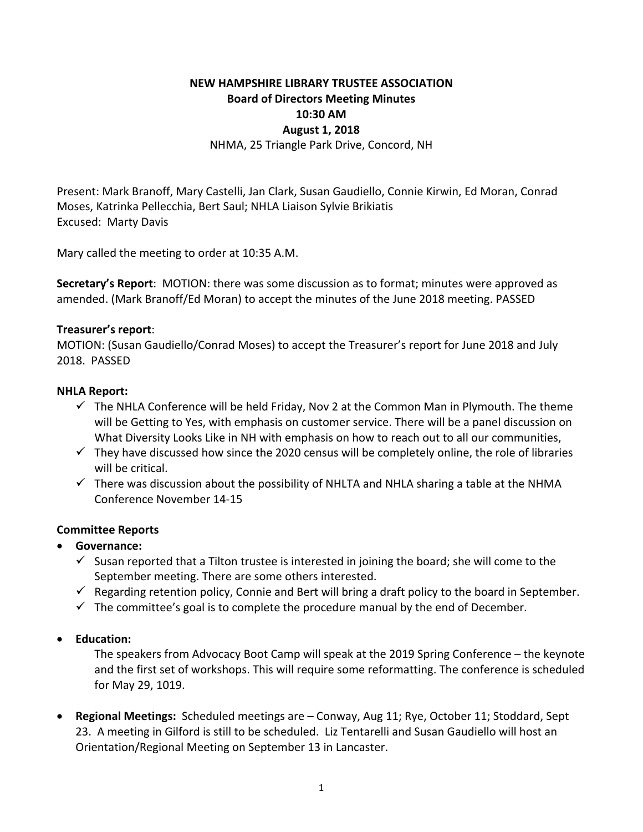# **NEW HAMPSHIRE LIBRARY TRUSTEE ASSOCIATION Board of Directors Meeting Minutes 10:30 AM August 1, 2018** NHMA, 25 Triangle Park Drive, Concord, NH

Present: Mark Branoff, Mary Castelli, Jan Clark, Susan Gaudiello, Connie Kirwin, Ed Moran, Conrad Moses, Katrinka Pellecchia, Bert Saul; NHLA Liaison Sylvie Brikiatis Excused: Marty Davis

Mary called the meeting to order at 10:35 A.M.

**Secretary's Report**: MOTION: there was some discussion as to format; minutes were approved as amended. (Mark Branoff/Ed Moran) to accept the minutes of the June 2018 meeting. PASSED

#### **Treasurer's report**:

MOTION: (Susan Gaudiello/Conrad Moses) to accept the Treasurer's report for June 2018 and July 2018. PASSED

#### **NHLA Report:**

- $\checkmark$  The NHLA Conference will be held Friday, Nov 2 at the Common Man in Plymouth. The theme will be Getting to Yes, with emphasis on customer service. There will be a panel discussion on What Diversity Looks Like in NH with emphasis on how to reach out to all our communities,
- $\checkmark$  They have discussed how since the 2020 census will be completely online, the role of libraries will be critical.
- $\checkmark$  There was discussion about the possibility of NHLTA and NHLA sharing a table at the NHMA Conference November 14‐15

### **Committee Reports**

- **Governance:**
	- $\checkmark$  Susan reported that a Tilton trustee is interested in joining the board; she will come to the September meeting. There are some others interested.
	- $\checkmark$  Regarding retention policy, Connie and Bert will bring a draft policy to the board in September.
	- $\checkmark$  The committee's goal is to complete the procedure manual by the end of December.
- **Education:**

The speakers from Advocacy Boot Camp will speak at the 2019 Spring Conference – the keynote and the first set of workshops. This will require some reformatting. The conference is scheduled for May 29, 1019.

**Regional Meetings:** Scheduled meetings are – Conway, Aug 11; Rye, October 11; Stoddard, Sept 23. A meeting in Gilford is still to be scheduled. Liz Tentarelli and Susan Gaudiello will host an Orientation/Regional Meeting on September 13 in Lancaster.